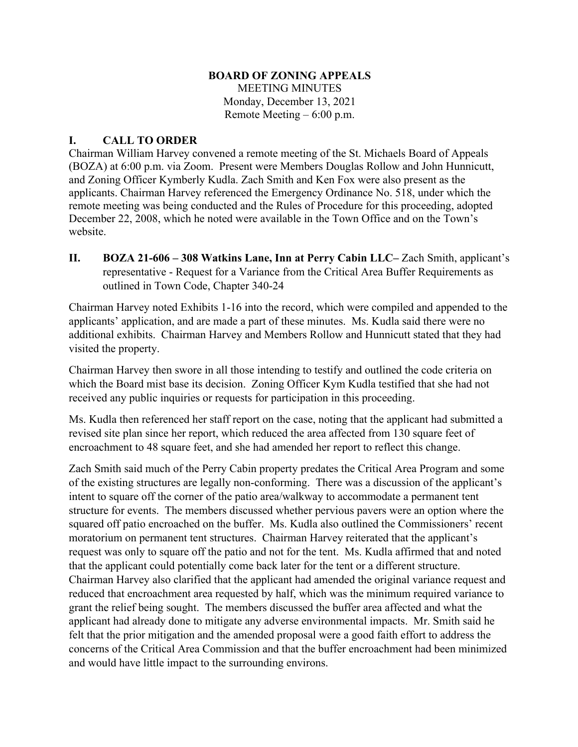## **BOARD OF ZONING APPEALS**

MEETING MINUTES Monday, December 13, 2021 Remote Meeting – 6:00 p.m.

## **I. CALL TO ORDER**

Chairman William Harvey convened a remote meeting of the St. Michaels Board of Appeals (BOZA) at 6:00 p.m. via Zoom. Present were Members Douglas Rollow and John Hunnicutt, and Zoning Officer Kymberly Kudla. Zach Smith and Ken Fox were also present as the applicants. Chairman Harvey referenced the Emergency Ordinance No. 518, under which the remote meeting was being conducted and the Rules of Procedure for this proceeding, adopted December 22, 2008, which he noted were available in the Town Office and on the Town's website.

**II. BOZA 21-606 – 308 Watkins Lane, Inn at Perry Cabin LLC–** Zach Smith, applicant's representative - Request for a Variance from the Critical Area Buffer Requirements as outlined in Town Code, Chapter 340-24

Chairman Harvey noted Exhibits 1-16 into the record, which were compiled and appended to the applicants' application, and are made a part of these minutes. Ms. Kudla said there were no additional exhibits. Chairman Harvey and Members Rollow and Hunnicutt stated that they had visited the property.

Chairman Harvey then swore in all those intending to testify and outlined the code criteria on which the Board mist base its decision. Zoning Officer Kym Kudla testified that she had not received any public inquiries or requests for participation in this proceeding.

Ms. Kudla then referenced her staff report on the case, noting that the applicant had submitted a revised site plan since her report, which reduced the area affected from 130 square feet of encroachment to 48 square feet, and she had amended her report to reflect this change.

Zach Smith said much of the Perry Cabin property predates the Critical Area Program and some of the existing structures are legally non-conforming. There was a discussion of the applicant's intent to square off the corner of the patio area/walkway to accommodate a permanent tent structure for events. The members discussed whether pervious pavers were an option where the squared off patio encroached on the buffer. Ms. Kudla also outlined the Commissioners' recent moratorium on permanent tent structures. Chairman Harvey reiterated that the applicant's request was only to square off the patio and not for the tent. Ms. Kudla affirmed that and noted that the applicant could potentially come back later for the tent or a different structure. Chairman Harvey also clarified that the applicant had amended the original variance request and reduced that encroachment area requested by half, which was the minimum required variance to grant the relief being sought. The members discussed the buffer area affected and what the applicant had already done to mitigate any adverse environmental impacts. Mr. Smith said he felt that the prior mitigation and the amended proposal were a good faith effort to address the concerns of the Critical Area Commission and that the buffer encroachment had been minimized and would have little impact to the surrounding environs.